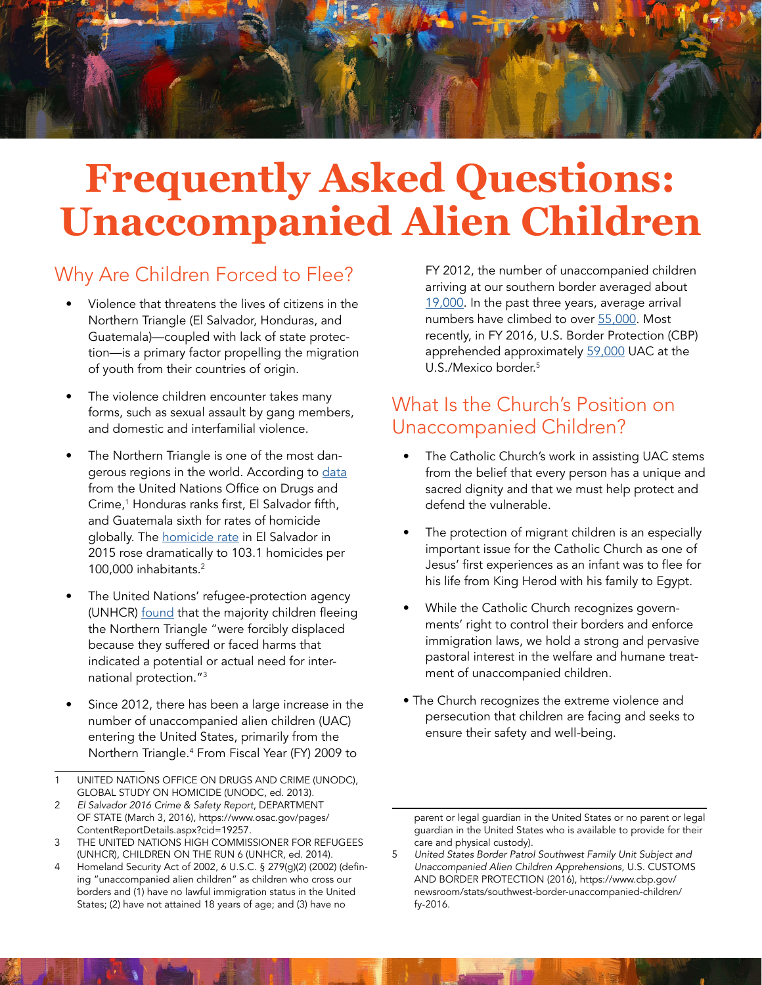

# **Frequently Asked Questions: [Unaccompanied Alien Children](https://www.dhs.gov/sites/default/files/publications/hr_5005_enr.pdf)**

#### Why Are Children Forced to Flee?

- Violence that threatens the lives of citizens in the Northern Triangle (El Salvador, Honduras, and Guatemala)—coupled with lack of state protection—is a primary factor propelling the migration of youth from their countries of origin.
- The violence children encounter takes many forms, such as sexual assault by gang members, and domestic and interfamilial violence.
- The Northern Triangle is one of the most dangerous regions in the world. According to [data](http://www.unodc.org/documents/gsh/pdfs/2014_GLOBAL_HOMICIDE_BOOK_web.pdf) from the United Nations Office on Drugs and Crime,<sup>1</sup> Honduras ranks first, El Salvador fifth, and Guatemala sixth for rates of homicide globally. The [homicide](https://www.osac.gov/pages/ContentReportDetails.aspx?cid=19257) rate in El Salvador in 2015 rose dramatically to 103.1 homicides per 100,000 inhabitants.<sup>2</sup>
- The United Nations' refugee-protection agency (UNHCR) [found](http://www.unhcr.org/56fc266f4.html) that the majority children fleeing the Northern Triangle "were forcibly displaced because they suffered or faced harms that indicated a potential or actual need for international protection."3
- Since 2012, there has been a large increase in the number of unaccompanied alien children (UAC) entering the United States, primarily from the Northern Triangle.<sup>4</sup> From Fiscal Year (FY) 2009 to
- 1 UNITED NATIONS OFFICE ON DRUGS AND CRIME (UNODC), GLOBAL STUDY ON HOMICIDE (UNODC, ed. 2013).
- 2 *El Salvador 2016 Crime & Safety Report*, DEPARTMENT OF STATE (March 3, 2016), https://www.osac.gov/pages/ ContentReportDetails.aspx?cid=19257.
- 3 THE UNITED NATIONS HIGH COMMISSIONER FOR REFUGEES (UNHCR), CHILDREN ON THE RUN 6 (UNHCR, ed. 2014).
- 4 Homeland Security Act of 2002, 6 U.S.C. § 279(g)(2) (2002) (defining "unaccompanied alien children" as children who cross our borders and (1) have no lawful immigration status in the United States; (2) have not attained 18 years of age; and (3) have no

FY 2012, the number of unaccompanied children arriving at our southern border averaged about [19,0](https://www.cbp.gov/newsroom/stats/southwest-border-unaccompanied-children/fy-2016)00. In the past three years, average arrival numbers have climbed to over [55,0](https://www.cbp.gov/newsroom/stats/southwest-border-unaccompanied-children/fy-2016)00. Most recently, in FY 2016, U.S. Border Protection (CBP) apprehended approximately [59,0](https://www.cbp.gov/newsroom/stats/southwest-border-unaccompanied-children/fy-2016)00 UAC at the U.S./Mexico border.<sup>5</sup>

## What Is the Church's Position on Unaccompanied Children?

- The Catholic Church's work in assisting UAC stems from the belief that every person has a unique and sacred dignity and that we must help protect and defend the vulnerable.
- The protection of migrant children is an especially important issue for the Catholic Church as one of Jesus' first experiences as an infant was to flee for his life from King Herod with his family to Egypt.
- While the Catholic Church recognizes governments' right to control their borders and enforce immigration laws, we hold a strong and pervasive pastoral interest in the welfare and humane treatment of unaccompanied children.
- The Church recognizes the extreme violence and persecution that children are facing and seeks to ensure their safety and well-being.

parent or legal guardian in the United States or no parent or legal guardian in the United States who is available to provide for their care and physical custody).

<sup>5</sup>  *United States Border Patrol Southwest Family Unit Subject and Unaccompanied Alien Children Apprehensions*, U.S. CUSTOMS AND BORDER PROTECTION (2016), https://www.cbp.gov/ newsroom/stats/southwest-border-unaccompanied-children/ fy-2016.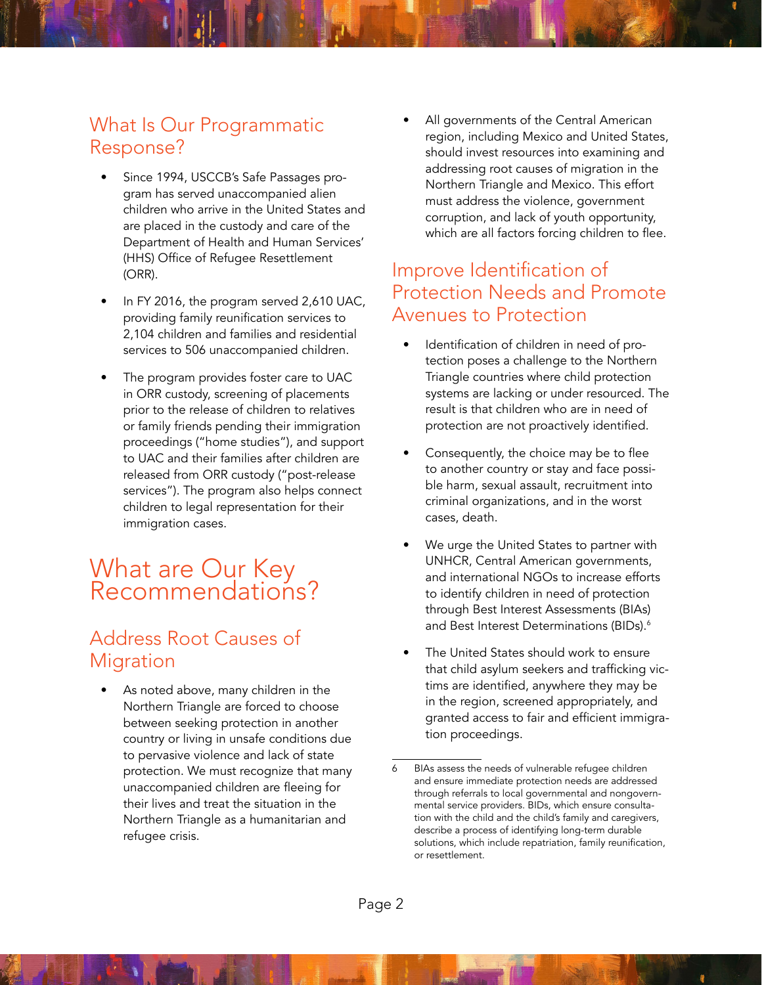#### What Is Our Programmatic Response?

- Since 1994, USCCB's Safe Passages program has served unaccompanied alien children who arrive in the United States and are placed in the custody and care of the Department of Health and Human Services' (HHS) Office of Refugee Resettlement (ORR).
- In FY 2016, the program served 2,610 UAC, providing family reunification services to 2,104 children and families and residential services to 506 unaccompanied children.
- The program provides foster care to UAC in ORR custody, screening of placements prior to the release of children to relatives or family friends pending their immigration proceedings ("home studies"), and support to UAC and their families after children are released from ORR custody ("post-release services"). The program also helps connect children to legal representation for their immigration cases.

# What are Our Key Recommendations?

# Address Root Causes of Migration

As noted above, many children in the Northern Triangle are forced to choose between seeking protection in another country or living in unsafe conditions due to pervasive violence and lack of state protection. We must recognize that many unaccompanied children are fleeing for their lives and treat the situation in the Northern Triangle as a humanitarian and refugee crisis.

All governments of the Central American region, including Mexico and United States, should invest resources into examining and addressing root causes of migration in the Northern Triangle and Mexico. This effort must address the violence, government corruption, and lack of youth opportunity, which are all factors forcing children to flee.

#### Improve Identification of Protection Needs and Promote Avenues to Protection

- Identification of children in need of protection poses a challenge to the Northern Triangle countries where child protection systems are lacking or under resourced. The result is that children who are in need of protection are not proactively identified.
- Consequently, the choice may be to flee to another country or stay and face possible harm, sexual assault, recruitment into criminal organizations, and in the worst cases, death.
- We urge the United States to partner with UNHCR, Central American governments, and international NGOs to increase efforts to identify children in need of protection through Best Interest Assessments (BIAs) and Best Interest Determinations (BIDs). $^6$
- The United States should work to ensure that child asylum seekers and trafficking victims are identified, anywhere they may be in the region, screened appropriately, and granted access to fair and efficient immigration proceedings.

BIAs assess the needs of vulnerable refugee children and ensure immediate protection needs are addressed through referrals to local governmental and nongovernmental service providers. BIDs, which ensure consultation with the child and the child's family and caregivers, describe a process of identifying long-term durable solutions, which include repatriation, family reunification, or resettlement.